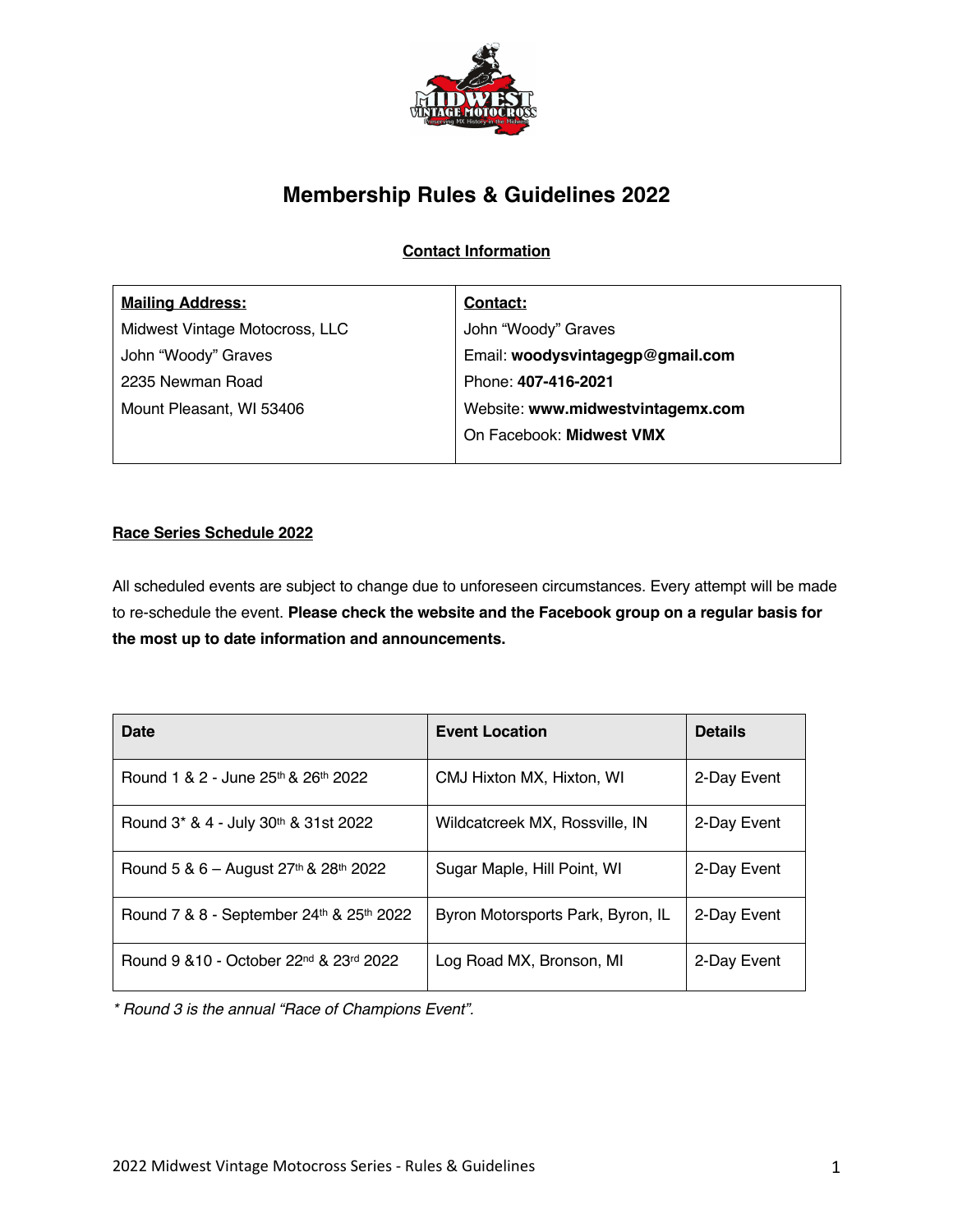

# **Membership Rules & Guidelines 2022**

**Contact Information**

| <b>Mailing Address:</b>        | Contact:                          |  |
|--------------------------------|-----------------------------------|--|
| Midwest Vintage Motocross, LLC | John "Woody" Graves               |  |
| John "Woody" Graves            | Email: woodysvintagegp@gmail.com  |  |
| 2235 Newman Road               | Phone: 407-416-2021               |  |
| Mount Pleasant, WI 53406       | Website: www.midwestvintagemx.com |  |
|                                | On Facebook: Midwest VMX          |  |
|                                |                                   |  |

## **Race Series Schedule 2022**

All scheduled events are subject to change due to unforeseen circumstances. Every attempt will be made to re-schedule the event. **Please check the website and the Facebook group on a regular basis for the most up to date information and announcements.**

| Date                                                            | <b>Event Location</b>             | <b>Details</b> |
|-----------------------------------------------------------------|-----------------------------------|----------------|
| Round 1 & 2 - June 25th & 26th 2022                             | CMJ Hixton MX, Hixton, WI         | 2-Day Event    |
| Round 3* & 4 - July 30th & 31st 2022                            | Wildcatcreek MX, Rossville, IN    | 2-Day Event    |
| Round 5 & 6 – August $27th$ & $28th$ 2022                       | Sugar Maple, Hill Point, WI       | 2-Day Event    |
| Round 7 & 8 - September 24th & 25th 2022                        | Byron Motorsports Park, Byron, IL | 2-Day Event    |
| Round 9 & 10 - October 22 <sup>nd</sup> & 23 <sup>rd</sup> 2022 | Log Road MX, Bronson, MI          | 2-Day Event    |

*\* Round 3 is the annual "Race of Champions Event".*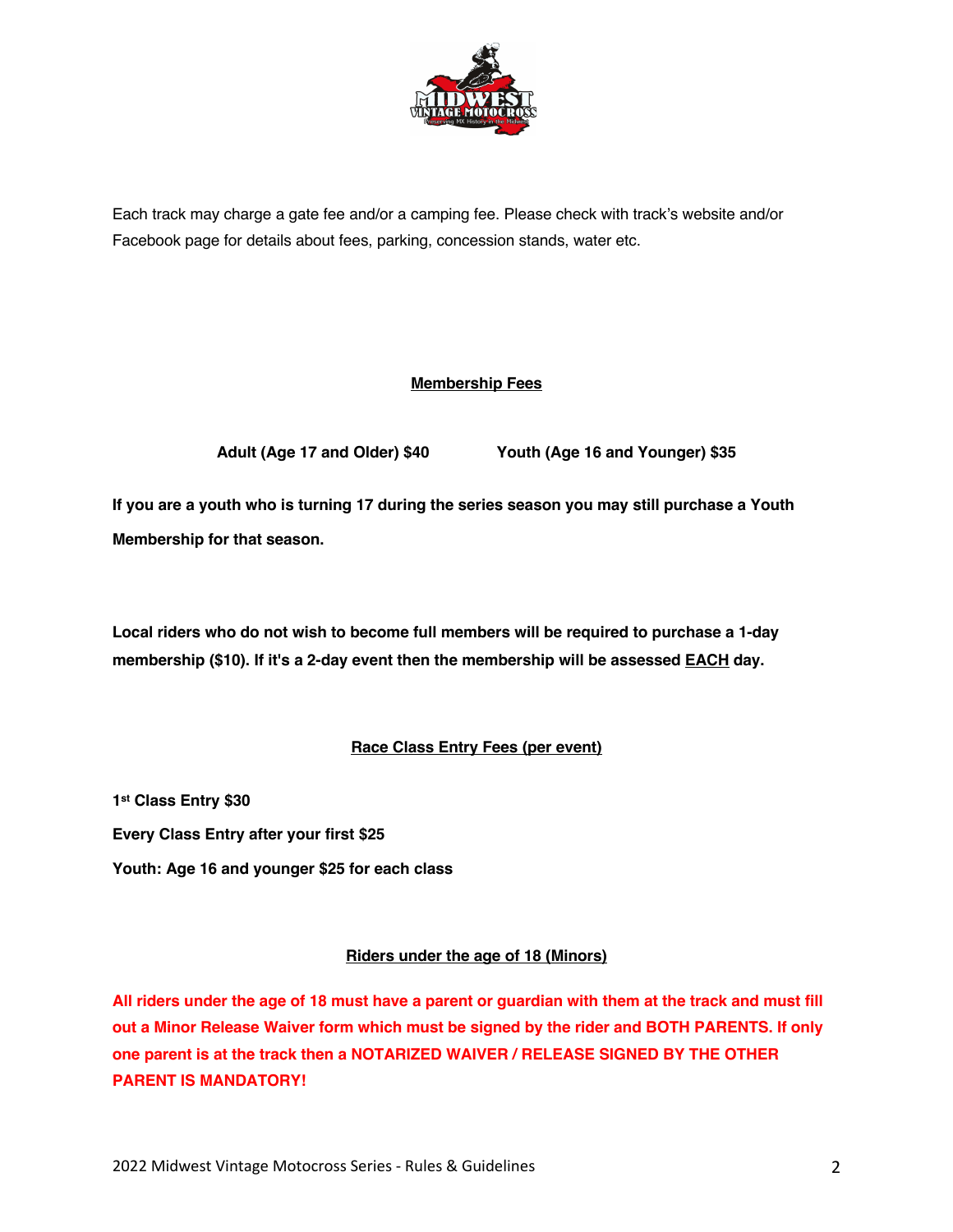

Each track may charge a gate fee and/or a camping fee. Please check with track's website and/or Facebook page for details about fees, parking, concession stands, water etc.

## **Membership Fees**

**Adult (Age 17 and Older) \$40 Youth (Age 16 and Younger) \$35**

**If you are a youth who is turning 17 during the series season you may still purchase a Youth Membership for that season.**

**Local riders who do not wish to become full members will be required to purchase a 1-day membership (\$10). If it's a 2-day event then the membership will be assessed EACH day.** 

## **Race Class Entry Fees (per event)**

**1st Class Entry \$30 Every Class Entry after your first \$25**

**Youth: Age 16 and younger \$25 for each class** 

## **Riders under the age of 18 (Minors)**

**All riders under the age of 18 must have a parent or guardian with them at the track and must fill out a Minor Release Waiver form which must be signed by the rider and BOTH PARENTS. If only one parent is at the track then a NOTARIZED WAIVER / RELEASE SIGNED BY THE OTHER PARENT IS MANDATORY!**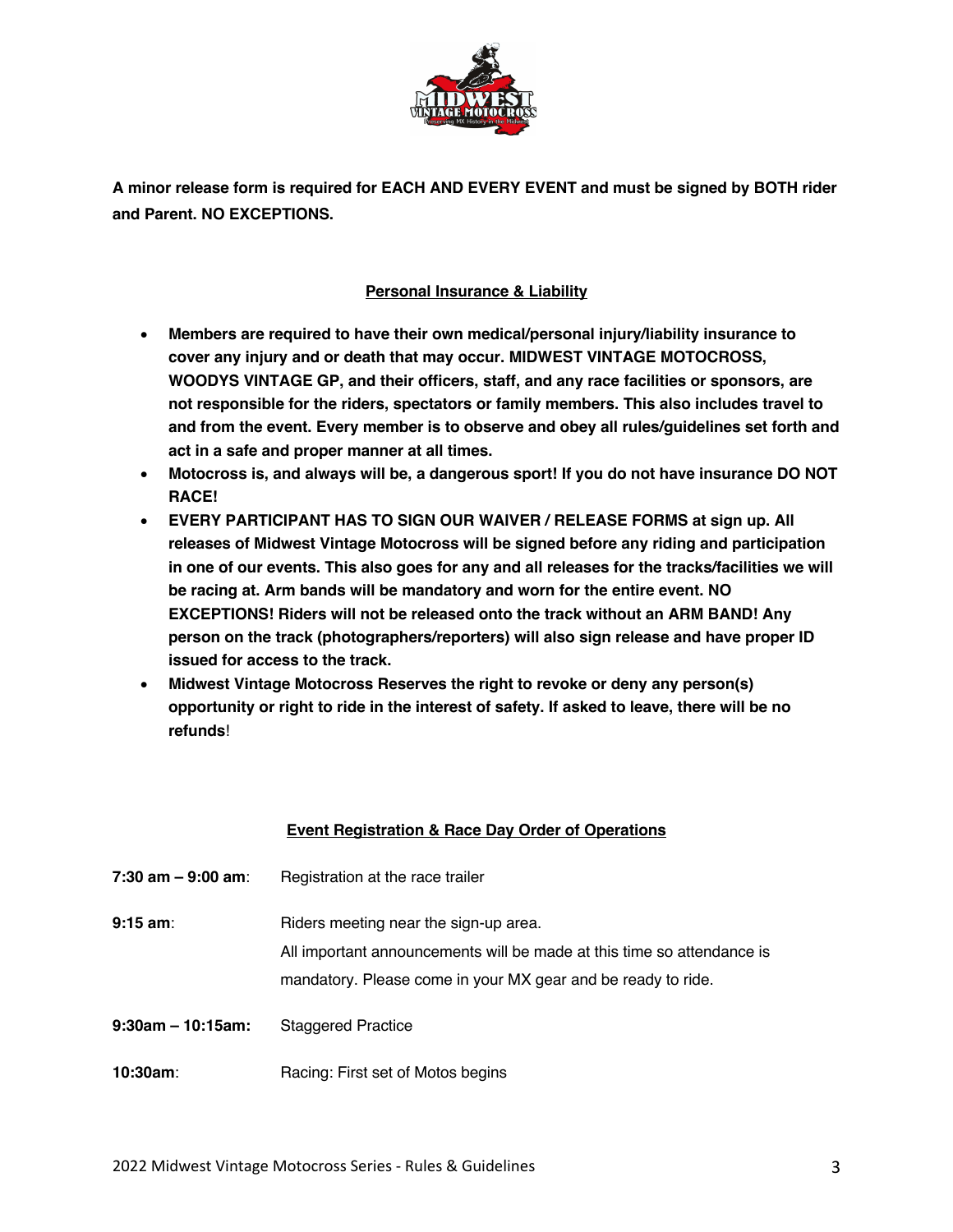

**A minor release form is required for EACH AND EVERY EVENT and must be signed by BOTH rider and Parent. NO EXCEPTIONS.** 

## **Personal Insurance & Liability**

- **Members are required to have their own medical/personal injury/liability insurance to cover any injury and or death that may occur. MIDWEST VINTAGE MOTOCROSS, WOODYS VINTAGE GP, and their officers, staff, and any race facilities or sponsors, are not responsible for the riders, spectators or family members. This also includes travel to and from the event. Every member is to observe and obey all rules/guidelines set forth and act in a safe and proper manner at all times.**
- **Motocross is, and always will be, a dangerous sport! If you do not have insurance DO NOT RACE!**
- **EVERY PARTICIPANT HAS TO SIGN OUR WAIVER / RELEASE FORMS at sign up. All releases of Midwest Vintage Motocross will be signed before any riding and participation in one of our events. This also goes for any and all releases for the tracks/facilities we will be racing at. Arm bands will be mandatory and worn for the entire event. NO EXCEPTIONS! Riders will not be released onto the track without an ARM BAND! Any person on the track (photographers/reporters) will also sign release and have proper ID issued for access to the track.**
- **Midwest Vintage Motocross Reserves the right to revoke or deny any person(s) opportunity or right to ride in the interest of safety. If asked to leave, there will be no refunds**!

#### **Event Registration & Race Day Order of Operations**

| 7:30 am – 9:00 am:   | Registration at the race trailer                                                                                                                                                |
|----------------------|---------------------------------------------------------------------------------------------------------------------------------------------------------------------------------|
| 9:15 am:             | Riders meeting near the sign-up area.<br>All important announcements will be made at this time so attendance is<br>mandatory. Please come in your MX gear and be ready to ride. |
| $9:30$ am – 10:15am: | <b>Staggered Practice</b>                                                                                                                                                       |
| 10:30am:             | Racing: First set of Motos begins                                                                                                                                               |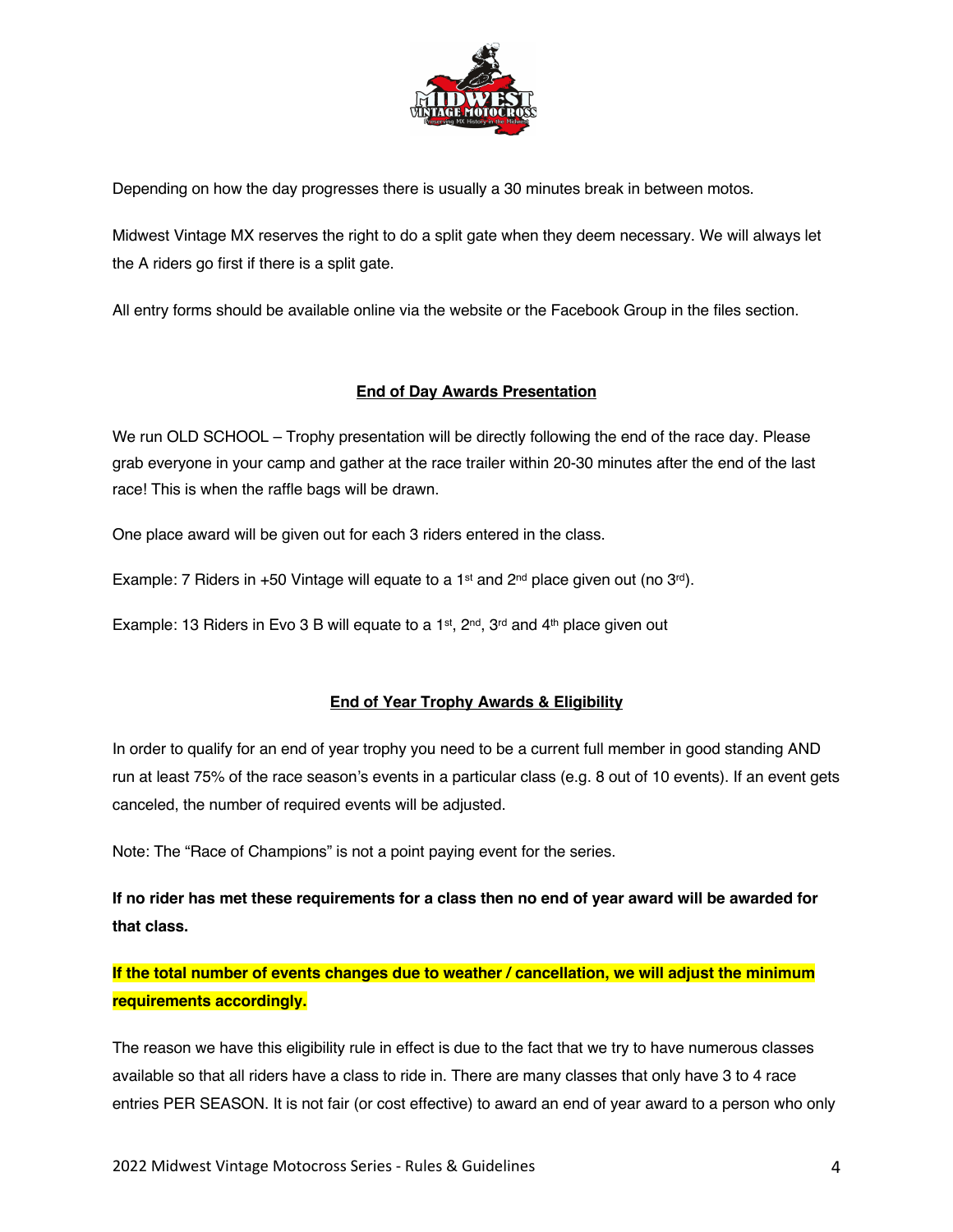

Depending on how the day progresses there is usually a 30 minutes break in between motos.

Midwest Vintage MX reserves the right to do a split gate when they deem necessary. We will always let the A riders go first if there is a split gate.

All entry forms should be available online via the website or the Facebook Group in the files section.

## **End of Day Awards Presentation**

We run OLD SCHOOL – Trophy presentation will be directly following the end of the race day. Please grab everyone in your camp and gather at the race trailer within 20-30 minutes after the end of the last race! This is when the raffle bags will be drawn.

One place award will be given out for each 3 riders entered in the class.

Example: 7 Riders in +50 Vintage will equate to a 1<sup>st</sup> and 2<sup>nd</sup> place given out (no  $3^{rd}$ ).

Example: 13 Riders in Evo 3 B will equate to a 1<sup>st</sup>, 2<sup>nd</sup>, 3<sup>rd</sup> and 4<sup>th</sup> place given out

## **End of Year Trophy Awards & Eligibility**

In order to qualify for an end of year trophy you need to be a current full member in good standing AND run at least 75% of the race season's events in a particular class (e.g. 8 out of 10 events). If an event gets canceled, the number of required events will be adjusted.

Note: The "Race of Champions" is not a point paying event for the series.

**If no rider has met these requirements for a class then no end of year award will be awarded for that class.**

**If the total number of events changes due to weather / cancellation, we will adjust the minimum requirements accordingly.**

The reason we have this eligibility rule in effect is due to the fact that we try to have numerous classes available so that all riders have a class to ride in. There are many classes that only have 3 to 4 race entries PER SEASON. It is not fair (or cost effective) to award an end of year award to a person who only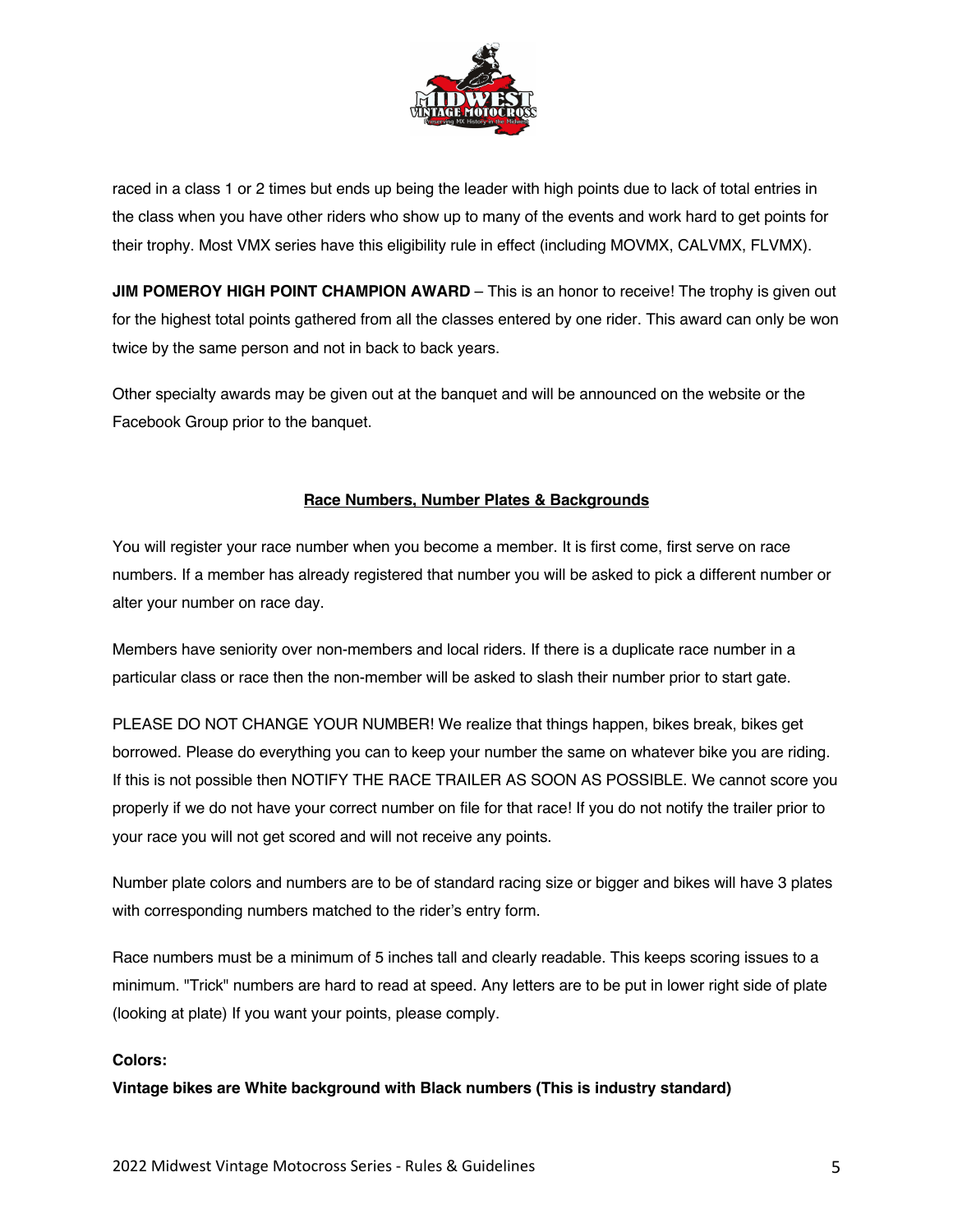

raced in a class 1 or 2 times but ends up being the leader with high points due to lack of total entries in the class when you have other riders who show up to many of the events and work hard to get points for their trophy. Most VMX series have this eligibility rule in effect (including MOVMX, CALVMX, FLVMX).

**JIM POMEROY HIGH POINT CHAMPION AWARD** – This is an honor to receive! The trophy is given out for the highest total points gathered from all the classes entered by one rider. This award can only be won twice by the same person and not in back to back years.

Other specialty awards may be given out at the banquet and will be announced on the website or the Facebook Group prior to the banquet.

### **Race Numbers, Number Plates & Backgrounds**

You will register your race number when you become a member. It is first come, first serve on race numbers. If a member has already registered that number you will be asked to pick a different number or alter your number on race day.

Members have seniority over non-members and local riders. If there is a duplicate race number in a particular class or race then the non-member will be asked to slash their number prior to start gate.

PLEASE DO NOT CHANGE YOUR NUMBER! We realize that things happen, bikes break, bikes get borrowed. Please do everything you can to keep your number the same on whatever bike you are riding. If this is not possible then NOTIFY THE RACE TRAILER AS SOON AS POSSIBLE. We cannot score you properly if we do not have your correct number on file for that race! If you do not notify the trailer prior to your race you will not get scored and will not receive any points.

Number plate colors and numbers are to be of standard racing size or bigger and bikes will have 3 plates with corresponding numbers matched to the rider's entry form.

Race numbers must be a minimum of 5 inches tall and clearly readable. This keeps scoring issues to a minimum. "Trick" numbers are hard to read at speed. Any letters are to be put in lower right side of plate (looking at plate) If you want your points, please comply.

#### **Colors:**

**Vintage bikes are White background with Black numbers (This is industry standard)**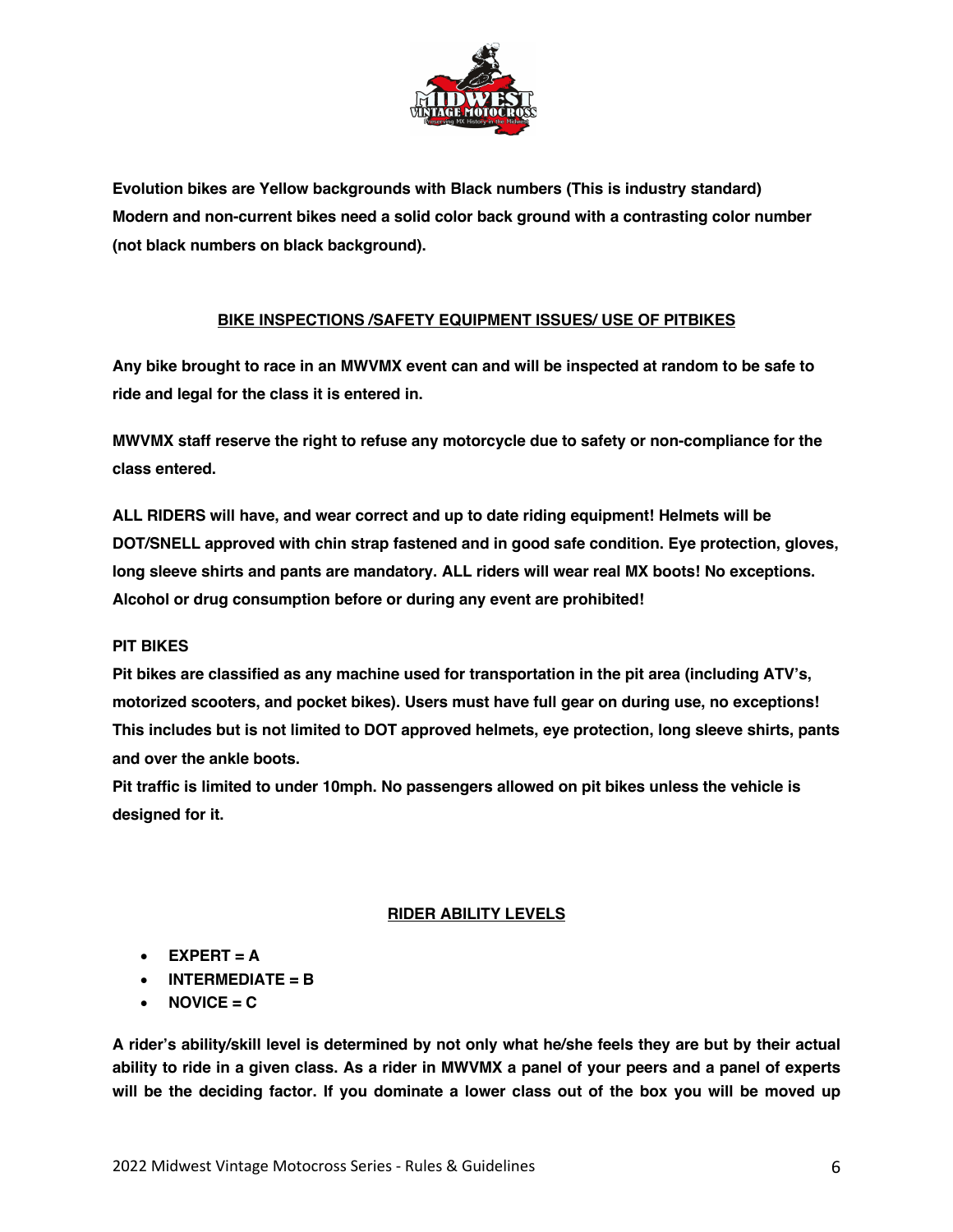

**Evolution bikes are Yellow backgrounds with Black numbers (This is industry standard) Modern and non-current bikes need a solid color back ground with a contrasting color number (not black numbers on black background).**

### **BIKE INSPECTIONS /SAFETY EQUIPMENT ISSUES/ USE OF PITBIKES**

**Any bike brought to race in an MWVMX event can and will be inspected at random to be safe to ride and legal for the class it is entered in.** 

**MWVMX staff reserve the right to refuse any motorcycle due to safety or non-compliance for the class entered.** 

**ALL RIDERS will have, and wear correct and up to date riding equipment! Helmets will be DOT/SNELL approved with chin strap fastened and in good safe condition. Eye protection, gloves, long sleeve shirts and pants are mandatory. ALL riders will wear real MX boots! No exceptions. Alcohol or drug consumption before or during any event are prohibited!**

#### **PIT BIKES**

**Pit bikes are classified as any machine used for transportation in the pit area (including ATV's, motorized scooters, and pocket bikes). Users must have full gear on during use, no exceptions! This includes but is not limited to DOT approved helmets, eye protection, long sleeve shirts, pants and over the ankle boots.** 

**Pit traffic is limited to under 10mph. No passengers allowed on pit bikes unless the vehicle is designed for it.** 

#### **RIDER ABILITY LEVELS**

- **EXPERT = A**
- **INTERMEDIATE = B**
- $\bullet$  **NOVICE** = C

**A rider's ability/skill level is determined by not only what he/she feels they are but by their actual ability to ride in a given class. As a rider in MWVMX a panel of your peers and a panel of experts will be the deciding factor. If you dominate a lower class out of the box you will be moved up**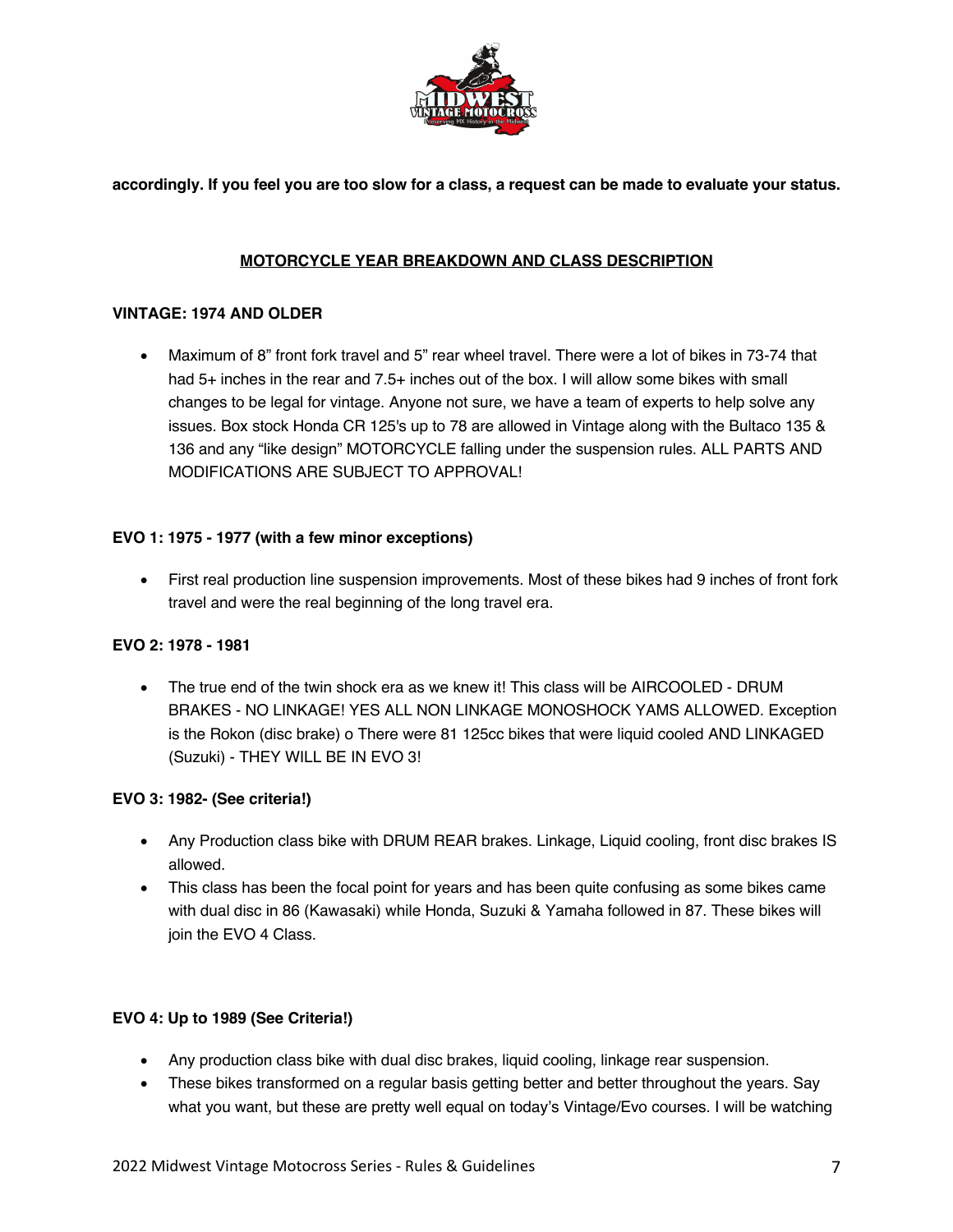

**accordingly. If you feel you are too slow for a class, a request can be made to evaluate your status.**

## **MOTORCYCLE YEAR BREAKDOWN AND CLASS DESCRIPTION**

#### **VINTAGE: 1974 AND OLDER**

• Maximum of 8" front fork travel and 5" rear wheel travel. There were a lot of bikes in 73-74 that had 5+ inches in the rear and 7.5+ inches out of the box. I will allow some bikes with small changes to be legal for vintage. Anyone not sure, we have a team of experts to help solve any issues. Box stock Honda CR 125's up to 78 are allowed in Vintage along with the Bultaco 135 & 136 and any "like design" MOTORCYCLE falling under the suspension rules. ALL PARTS AND MODIFICATIONS ARE SUBJECT TO APPROVAL!

#### **EVO 1: 1975 - 1977 (with a few minor exceptions)**

• First real production line suspension improvements. Most of these bikes had 9 inches of front fork travel and were the real beginning of the long travel era.

#### **EVO 2: 1978 - 1981**

• The true end of the twin shock era as we knew it! This class will be AIRCOOLED - DRUM BRAKES - NO LINKAGE! YES ALL NON LINKAGE MONOSHOCK YAMS ALLOWED. Exception is the Rokon (disc brake) o There were 81 125cc bikes that were liquid cooled AND LINKAGED (Suzuki) - THEY WILL BE IN EVO 3!

#### **EVO 3: 1982- (See criteria!)**

- Any Production class bike with DRUM REAR brakes. Linkage, Liquid cooling, front disc brakes IS allowed.
- This class has been the focal point for years and has been quite confusing as some bikes came with dual disc in 86 (Kawasaki) while Honda, Suzuki & Yamaha followed in 87. These bikes will join the EVO 4 Class.

#### **EVO 4: Up to 1989 (See Criteria!)**

- Any production class bike with dual disc brakes, liquid cooling, linkage rear suspension.
- These bikes transformed on a regular basis getting better and better throughout the years. Say what you want, but these are pretty well equal on today's Vintage/Evo courses. I will be watching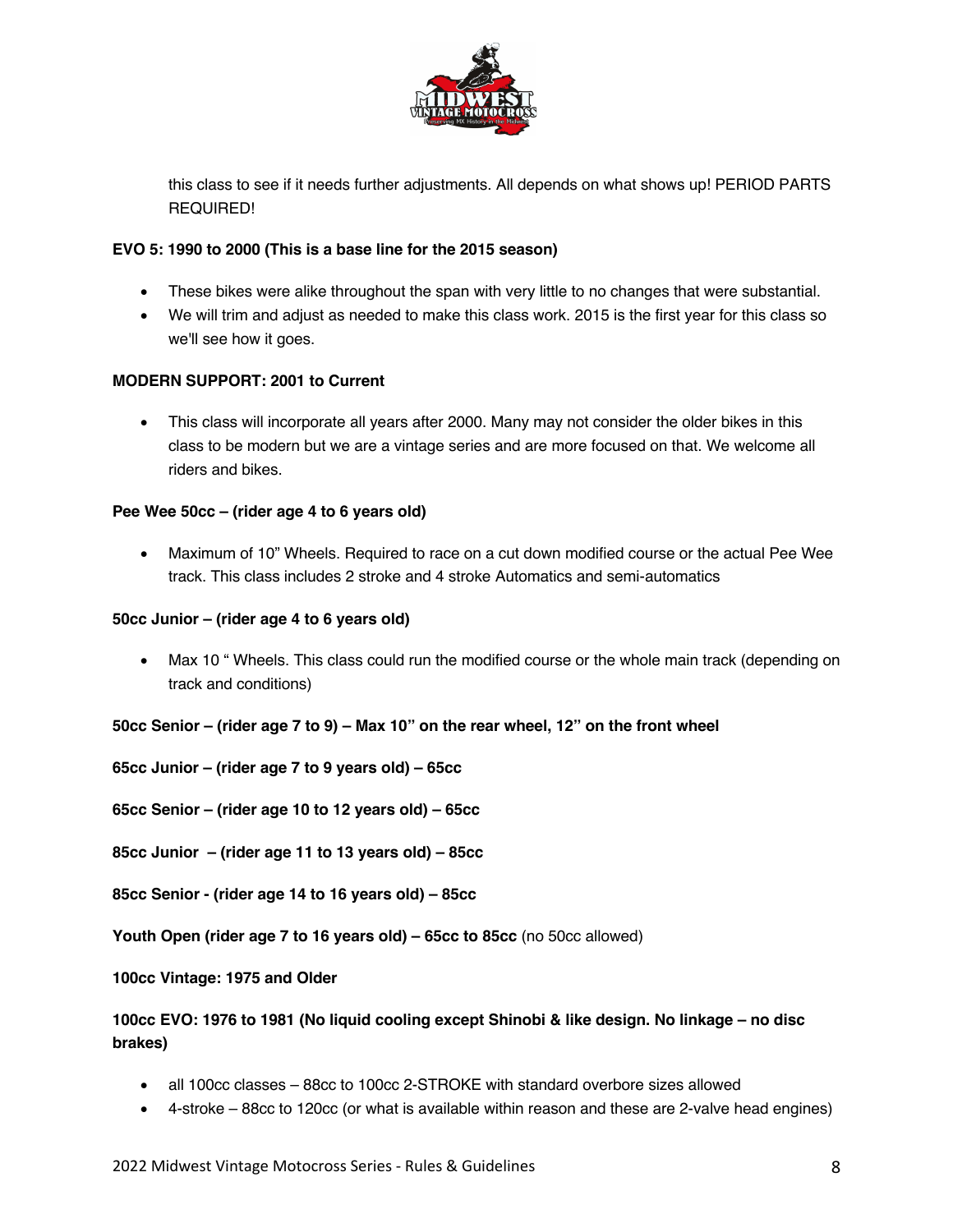

this class to see if it needs further adjustments. All depends on what shows up! PERIOD PARTS REQUIRED!

#### **EVO 5: 1990 to 2000 (This is a base line for the 2015 season)**

- These bikes were alike throughout the span with very little to no changes that were substantial.
- We will trim and adjust as needed to make this class work. 2015 is the first year for this class so we'll see how it goes.

### **MODERN SUPPORT: 2001 to Current**

• This class will incorporate all years after 2000. Many may not consider the older bikes in this class to be modern but we are a vintage series and are more focused on that. We welcome all riders and bikes.

#### **Pee Wee 50cc – (rider age 4 to 6 years old)**

• Maximum of 10" Wheels. Required to race on a cut down modified course or the actual Pee Wee track. This class includes 2 stroke and 4 stroke Automatics and semi-automatics

#### **50cc Junior – (rider age 4 to 6 years old)**

• Max 10 " Wheels. This class could run the modified course or the whole main track (depending on track and conditions)

#### **50cc Senior – (rider age 7 to 9) – Max 10" on the rear wheel, 12" on the front wheel**

**65cc Junior – (rider age 7 to 9 years old) – 65cc**

**65cc Senior – (rider age 10 to 12 years old) – 65cc**

**85cc Junior – (rider age 11 to 13 years old) – 85cc**

**85cc Senior - (rider age 14 to 16 years old) – 85cc**

**Youth Open (rider age 7 to 16 years old) – 65cc to 85cc** (no 50cc allowed)

**100cc Vintage: 1975 and Older**

**100cc EVO: 1976 to 1981 (No liquid cooling except Shinobi & like design. No linkage – no disc brakes)**

- all 100cc classes 88cc to 100cc 2-STROKE with standard overbore sizes allowed
- 4-stroke 88cc to 120cc (or what is available within reason and these are 2-valve head engines)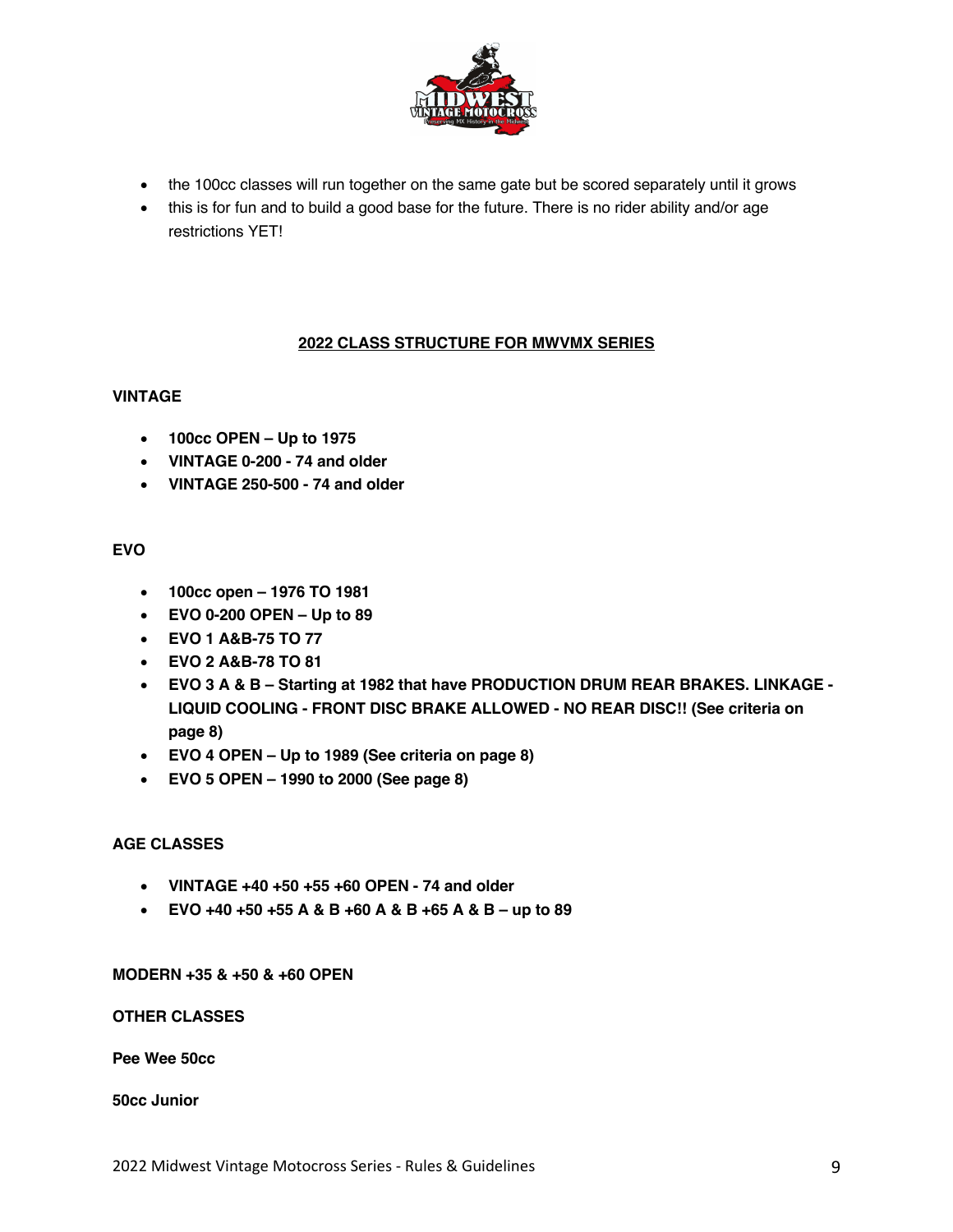

- the 100cc classes will run together on the same gate but be scored separately until it grows
- this is for fun and to build a good base for the future. There is no rider ability and/or age restrictions YET!

## **2022 CLASS STRUCTURE FOR MWVMX SERIES**

### **VINTAGE**

- **100cc OPEN – Up to 1975**
- **VINTAGE 0-200 - 74 and older**
- **VINTAGE 250-500 - 74 and older**

## **EVO**

- **100cc open – 1976 TO 1981**
- **EVO 0-200 OPEN – Up to 89**
- **EVO 1 A&B-75 TO 77**
- **EVO 2 A&B-78 TO 81**
- **EVO 3 A & B – Starting at 1982 that have PRODUCTION DRUM REAR BRAKES. LINKAGE - LIQUID COOLING - FRONT DISC BRAKE ALLOWED - NO REAR DISC!! (See criteria on page 8)**
- **EVO 4 OPEN – Up to 1989 (See criteria on page 8)**
- **EVO 5 OPEN – 1990 to 2000 (See page 8)**

## **AGE CLASSES**

- **VINTAGE +40 +50 +55 +60 OPEN - 74 and older**
- **EVO +40 +50 +55 A & B +60 A & B +65 A & B – up to 89**

**MODERN +35 & +50 & +60 OPEN**

**OTHER CLASSES**

**Pee Wee 50cc**

**50cc Junior**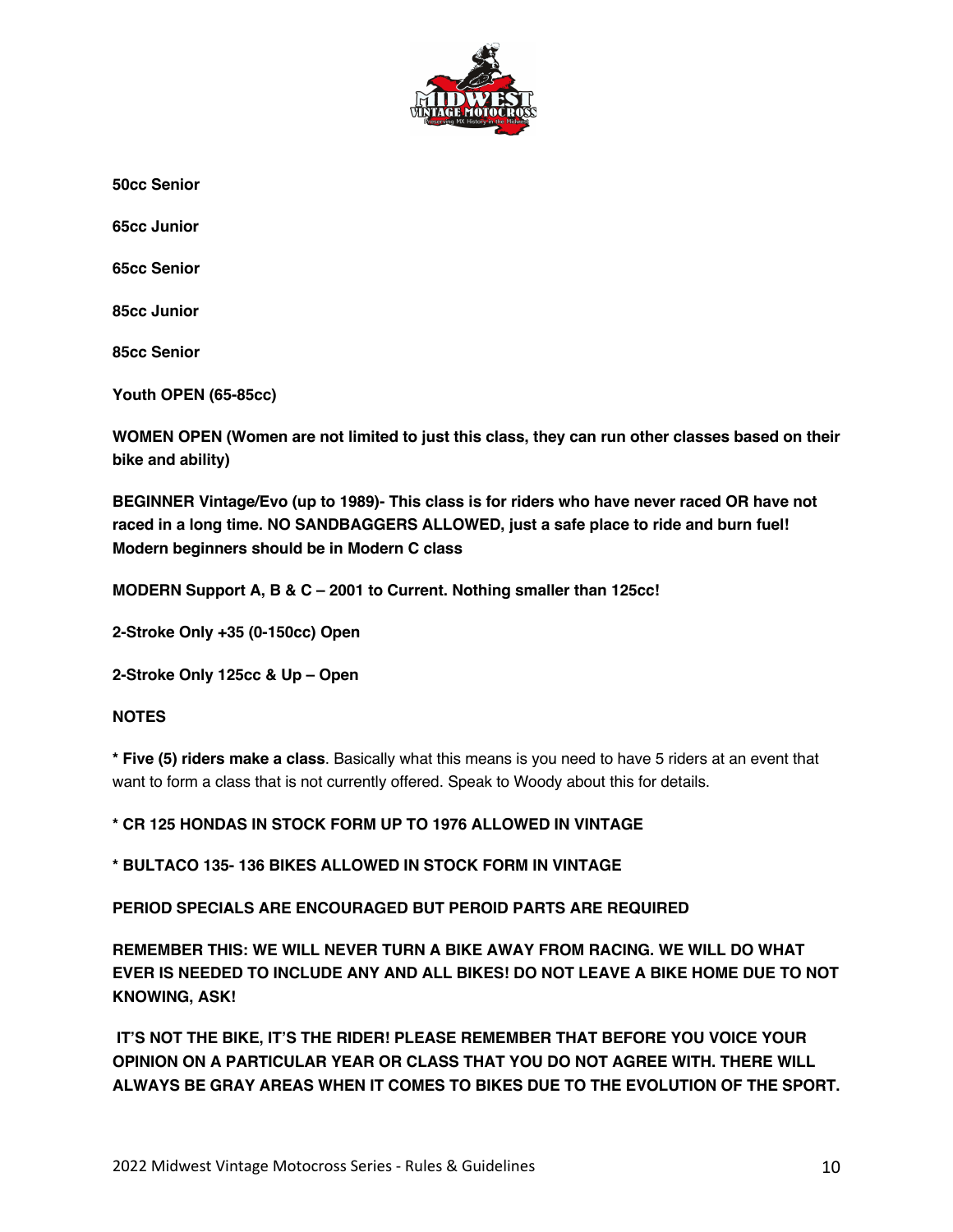

**50cc Senior**

**65cc Junior**

**65cc Senior**

**85cc Junior**

**85cc Senior**

**Youth OPEN (65-85cc)**

**WOMEN OPEN (Women are not limited to just this class, they can run other classes based on their bike and ability)**

**BEGINNER Vintage/Evo (up to 1989)- This class is for riders who have never raced OR have not raced in a long time. NO SANDBAGGERS ALLOWED, just a safe place to ride and burn fuel! Modern beginners should be in Modern C class**

**MODERN Support A, B & C – 2001 to Current. Nothing smaller than 125cc!**

**2-Stroke Only +35 (0-150cc) Open**

**2-Stroke Only 125cc & Up – Open**

#### **NOTES**

**\* Five (5) riders make a class**. Basically what this means is you need to have 5 riders at an event that want to form a class that is not currently offered. Speak to Woody about this for details.

**\* CR 125 HONDAS IN STOCK FORM UP TO 1976 ALLOWED IN VINTAGE**

**\* BULTACO 135- 136 BIKES ALLOWED IN STOCK FORM IN VINTAGE**

**PERIOD SPECIALS ARE ENCOURAGED BUT PEROID PARTS ARE REQUIRED**

**REMEMBER THIS: WE WILL NEVER TURN A BIKE AWAY FROM RACING. WE WILL DO WHAT EVER IS NEEDED TO INCLUDE ANY AND ALL BIKES! DO NOT LEAVE A BIKE HOME DUE TO NOT KNOWING, ASK!**

**IT'S NOT THE BIKE, IT'S THE RIDER! PLEASE REMEMBER THAT BEFORE YOU VOICE YOUR OPINION ON A PARTICULAR YEAR OR CLASS THAT YOU DO NOT AGREE WITH. THERE WILL ALWAYS BE GRAY AREAS WHEN IT COMES TO BIKES DUE TO THE EVOLUTION OF THE SPORT.**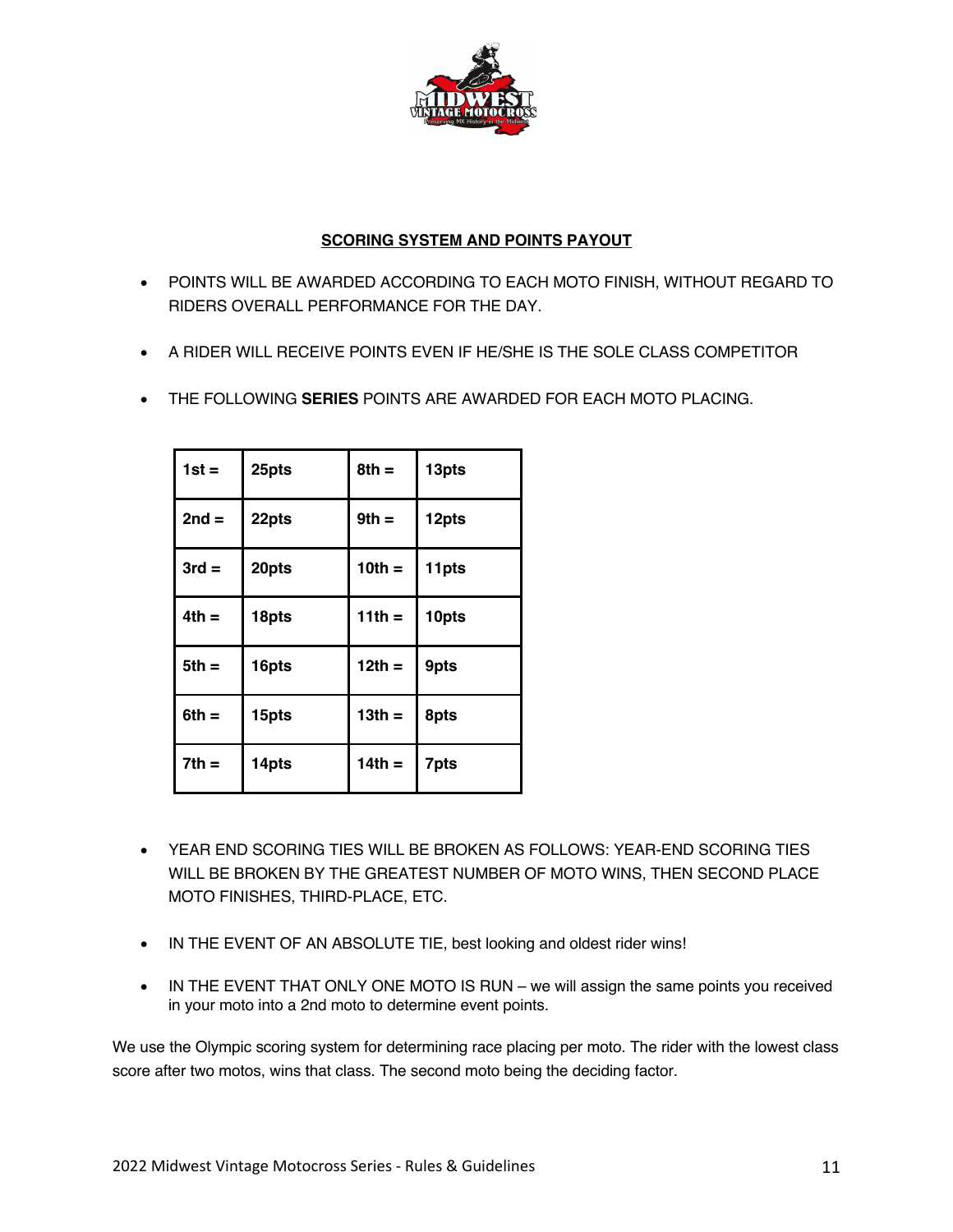

## **SCORING SYSTEM AND POINTS PAYOUT**

- POINTS WILL BE AWARDED ACCORDING TO EACH MOTO FINISH, WITHOUT REGARD TO RIDERS OVERALL PERFORMANCE FOR THE DAY.
- A RIDER WILL RECEIVE POINTS EVEN IF HE/SHE IS THE SOLE CLASS COMPETITOR
- THE FOLLOWING **SERIES** POINTS ARE AWARDED FOR EACH MOTO PLACING.

| $1st =$ | 25pts | $8th =$  | 13pts |
|---------|-------|----------|-------|
| $2nd =$ | 22pts | $9th =$  | 12pts |
| $3rd =$ | 20pts | $10th =$ | 11pts |
| $4th =$ | 18pts | $11th =$ | 10pts |
| $5th =$ | 16pts | $12th =$ | 9pts  |
| $6th =$ | 15pts | $13th =$ | 8pts  |
| $7th =$ | 14pts | $14th =$ | 7pts  |

- YEAR END SCORING TIES WILL BE BROKEN AS FOLLOWS: YEAR-END SCORING TIES WILL BE BROKEN BY THE GREATEST NUMBER OF MOTO WINS, THEN SECOND PLACE MOTO FINISHES, THIRD-PLACE, ETC.
- IN THE EVENT OF AN ABSOLUTE TIE, best looking and oldest rider wins!
- IN THE EVENT THAT ONLY ONE MOTO IS RUN we will assign the same points you received in your moto into a 2nd moto to determine event points.

We use the Olympic scoring system for determining race placing per moto. The rider with the lowest class score after two motos, wins that class. The second moto being the deciding factor.